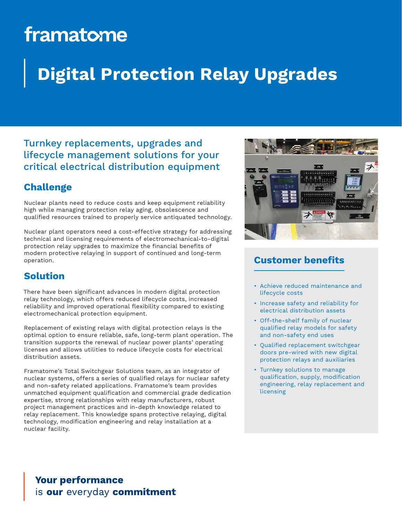# framatome

## **Digital Protection Relay Upgrades**

### Turnkey replacements, upgrades and lifecycle management solutions for your critical electrical distribution equipment

### **Challenge**

Nuclear plants need to reduce costs and keep equipment reliability high while managing protection relay aging, obsolescence and qualified resources trained to properly service antiquated technology.

Nuclear plant operators need a cost-effective strategy for addressing technical and licensing requirements of electromechanical-to-digital protection relay upgrades to maximize the financial benefits of modern protective relaying in support of continued and long-term operation.

### **Solution**

There have been significant advances in modern digital protection relay technology, which offers reduced lifecycle costs, increased reliability and improved operational flexibility compared to existing electromechanical protection equipment.

Replacement of existing relays with digital protection relays is the optimal option to ensure reliable, safe, long-term plant operation. The transition supports the renewal of nuclear power plants' operating licenses and allows utilities to reduce lifecycle costs for electrical distribution assets.

Framatome's Total Switchgear Solutions team, as an integrator of nuclear systems, offers a series of qualified relays for nuclear safety and non-safety related applications. Framatome's team provides unmatched equipment qualification and commercial grade dedication expertise, strong relationships with relay manufacturers, robust project management practices and in-depth knowledge related to relay replacement. This knowledge spans protective relaying, digital technology, modification engineering and relay installation at a nuclear facility.



#### **Customer benefits**

- Achieve reduced maintenance and lifecycle costs
- Increase safety and reliability for electrical distribution assets
- Off-the-shelf family of nuclear qualified relay models for safety and non-safety end uses
- Qualified replacement switchgear doors pre-wired with new digital protection relays and auxiliaries
- Turnkey solutions to manage qualification, supply, modification engineering, relay replacement and licensing

**Your performance** is our everyday commitment